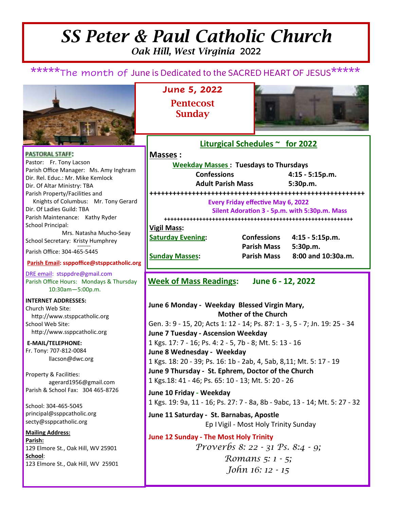# *SS Peter & Paul Catholic Church Oak Hill, West Virginia* 2022

\*\*\*\*\*The month of June is Dedicated to the SACRED HEART OF JESUS\*\*\*\*\*



**PASTORAL STAFF:** Pastor: Fr. Tony Lacson Parish Office Manager: Ms. Amy Inghram Dir. Rel. Educ.: Mr. Mike Kemlock Dir. Of Altar Ministry: TBA Parish Property/Facilities and Knights of Columbus: Mr. Tony Gerard Dir. Of Ladies Guild: TBA Parish Maintenance: Kathy Ryder School Principal: Mrs. Natasha Mucho-Seay School Secretary: Kristy Humphrey ∞∞∞∞∞∞

Parish Office: 304-465-5445

### **Parish Email: ssppoffice@stsppcatholic.org**

DRE email: stsppdre@gmail.com Parish Office Hours: Mondays & Thursday 10:30am—5:00p.m.

**INTERNET ADDRESSES:**  Church Web Site: http://www.stsppcatholic.org School Web Site: http://www.ssppcatholic.org

**E-MAIL/TELEPHONE:**  Fr. Tony: 707-812-0084 llacson@dwc.org

Property & Facilities: agerard1956@gmail.com Parish & School Fax: 304 465-8726

School: 304-465-5045 principal@ssppcatholic.org secty@ssppcatholic.org

**Mailing Address: Parish:**  129 Elmore St., Oak Hill, WV 25901 **School**: 123 Elmore St., Oak Hill, WV 25901 **June 5, 2022 Pentecost Sunday** 



### **Liturgical Schedules ~ for 2022**

**Masses : Weekday Masses : Tuesdays to Thursdays Confessions 4:15 - 5:15p.m. Adult Parish Mass 5:30p.m. ++++++++++++++++++++++++++++++++++++++++++++++++++++++++ Every Friday effective May 6, 2022** Silent Adoration 3 - 5p.m. with 5:30p.m. Mass **+++++++++++++++++++++++++++++++++++++++++++++++++++++++++++ Vigil Mass: Saturday Evening: Confessions 4:15 - 5:15p.m. Parish Mass 5:30p.m. Sunday Masses: Parish Mass 8:00 and 10:30a.m.** 

**Week of Mass Readings: June 6 - 12, 2022** 

**June 6 Monday - Weekday Blessed Virgin Mary, Mother of the Church**  Gen. 3: 9 - 15, 20; Acts 1: 12 - 14; Ps. 87: 1 - 3, 5 - 7; Jn. 19: 25 - 34 **June 7 Tuesday - Ascension Weekday**  1 Kgs. 17: 7 - 16; Ps. 4: 2 - 5, 7b - 8; Mt. 5: 13 - 16 **June 8 Wednesday - Weekday**  1 Kgs. 18: 20 - 39; Ps. 16: 1b - 2ab, 4, 5ab, 8,11; Mt. 5: 17 - 19 **June 9 Thursday - St. Ephrem, Doctor of the Church** 1 Kgs.18: 41 - 46; Ps. 65: 10 - 13; Mt. 5: 20 - 26 **June 10 Friday - Weekday**  1 Kgs. 19: 9a, 11 - 16; Ps. 27: 7 - 8a, 8b - 9abc, 13 - 14; Mt. 5: 27 - 32

**June 11 Saturday - St. Barnabas, Apostle**  Ep I Vigil - Most Holy Trinity Sunday

**June 12 Sunday - The Most Holy Trinity**  *Proverbs 8: 22 - 31 Ps. 8:4 - 9; Romans 5: 1 - 5; John 16: 12 - 15*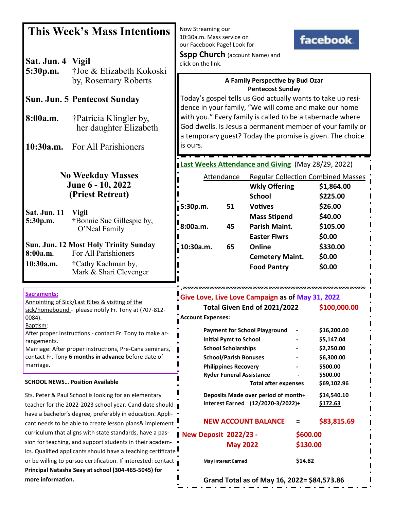| Sat. Jun. 4 Vigil                                                                                                 | <b>This Week's Mass Intentions</b>                                                                                   | Now Streaming our<br>10:30a.m. Mass service on<br>our Facebook Page! Look for<br><b>Sspp Church</b> (account Name) and<br>click on the link.                                         |                                 |                                                  |          | facebook.                                 |  |
|-------------------------------------------------------------------------------------------------------------------|----------------------------------------------------------------------------------------------------------------------|--------------------------------------------------------------------------------------------------------------------------------------------------------------------------------------|---------------------------------|--------------------------------------------------|----------|-------------------------------------------|--|
| 5:30p.m.                                                                                                          | †Joe & Elizabeth Kokoski<br>by, Rosemary Roberts                                                                     | A Family Perspective by Bud Ozar<br><b>Pentecost Sunday</b>                                                                                                                          |                                 |                                                  |          |                                           |  |
| <b>Sun. Jun. 5 Pentecost Sunday</b>                                                                               | Today's gospel tells us God actually wants to take up resi-<br>dence in your family, "We will come and make our home |                                                                                                                                                                                      |                                 |                                                  |          |                                           |  |
| 8:00a.m.                                                                                                          | †Patricia Klingler by,<br>her daughter Elizabeth                                                                     | with you." Every family is called to be a tabernacle where<br>God dwells. Is Jesus a permanent member of your family or<br>a temporary guest? Today the promise is given. The choice |                                 |                                                  |          |                                           |  |
|                                                                                                                   | 10:30a.m. For All Parishioners                                                                                       | is ours.                                                                                                                                                                             |                                 |                                                  |          |                                           |  |
|                                                                                                                   | Last Weeks Attendance and Giving (May 28/29, 2022)                                                                   |                                                                                                                                                                                      |                                 |                                                  |          |                                           |  |
| <b>No Weekday Masses</b>                                                                                          |                                                                                                                      |                                                                                                                                                                                      | Attendance                      |                                                  |          | <b>Regular Collection Combined Masses</b> |  |
|                                                                                                                   | June 6 - 10, 2022<br>(Priest Retreat)                                                                                |                                                                                                                                                                                      |                                 | <b>Wkly Offering</b>                             |          | \$1,864.00                                |  |
|                                                                                                                   |                                                                                                                      |                                                                                                                                                                                      |                                 | <b>School</b>                                    |          | \$225.00                                  |  |
| <b>Sat. Jun. 11</b>                                                                                               | <b>Vigil</b>                                                                                                         | 5:30p.m.                                                                                                                                                                             | 51                              | <b>Votives</b>                                   |          | \$26.00                                   |  |
| 5:30p.m.                                                                                                          | †Bonnie Sue Gillespie by,                                                                                            |                                                                                                                                                                                      |                                 | <b>Mass Stipend</b>                              |          | \$40.00                                   |  |
|                                                                                                                   | O'Neal Family                                                                                                        | 8:00a.m.                                                                                                                                                                             | 45                              | <b>Parish Maint.</b>                             |          | \$105.00                                  |  |
| <b>Sun. Jun. 12 Most Holy Trinity Sunday</b>                                                                      |                                                                                                                      |                                                                                                                                                                                      |                                 | <b>Easter Flwrs</b>                              |          | \$0.00                                    |  |
| 8:00a.m.                                                                                                          | For All Parishioners                                                                                                 | 10:30a.m.                                                                                                                                                                            | 65                              | Online                                           |          | \$330.00                                  |  |
| 10:30a.m.                                                                                                         | †Cathy Kachman by,                                                                                                   |                                                                                                                                                                                      |                                 | <b>Cemetery Maint.</b>                           |          | \$0.00                                    |  |
|                                                                                                                   | Mark & Shari Clevenger                                                                                               |                                                                                                                                                                                      |                                 | <b>Food Pantry</b>                               |          | \$0.00                                    |  |
| Sacraments:                                                                                                       |                                                                                                                      |                                                                                                                                                                                      |                                 | Give Love, Live Love Campaign as of May 31, 2022 |          |                                           |  |
| Annointing of Sick/Last Rites & visiting of the<br>sick/homebound - please notify Fr. Tony at (707-812-<br>0084). |                                                                                                                      | <b>Account Expenses:</b>                                                                                                                                                             |                                 | Total Given End of 2021/2022                     |          | \$100,000.00                              |  |
| Baptism:                                                                                                          |                                                                                                                      |                                                                                                                                                                                      |                                 | <b>Payment for School Playground</b>             |          | \$16,200.00                               |  |
| After proper Instructions - contact Fr. Tony to make ar-<br>rangements.                                           |                                                                                                                      |                                                                                                                                                                                      | <b>Initial Pymt to School</b>   |                                                  |          | \$5,147.04                                |  |
| Marriage: After proper instructions, Pre-Cana seminars,                                                           |                                                                                                                      |                                                                                                                                                                                      | <b>School Scholarships</b>      |                                                  |          | \$2,250.00                                |  |
| contact Fr. Tony 6 months in advance before date of                                                               |                                                                                                                      |                                                                                                                                                                                      | <b>School/Parish Bonuses</b>    |                                                  |          | \$6,300.00                                |  |
| marriage.                                                                                                         |                                                                                                                      |                                                                                                                                                                                      | <b>Philippines Recovery</b>     |                                                  |          | \$500.00                                  |  |
|                                                                                                                   | <b>SCHOOL NEWS Position Available</b>                                                                                |                                                                                                                                                                                      | <b>Ryder Funeral Assistance</b> | <b>Total after expenses</b>                      |          | \$500.00<br>\$69,102.96                   |  |
| Sts. Peter & Paul School is looking for an elementary<br>teacher for the 2022-2023 school year. Candidate should  |                                                                                                                      | Deposits Made over period of month+<br>Interest Earned (12/2020-3/2022)+                                                                                                             |                                 |                                                  |          | \$14,540.10<br>\$172.63                   |  |
|                                                                                                                   | have a bachelor's degree, preferably in education. Appli-<br>cant needs to be able to create lesson plans& implement |                                                                                                                                                                                      |                                 | <b>NEW ACCOUNT BALANCE</b>                       | Ξ        | \$83,815.69                               |  |
| curriculum that aligns with state standards, have a pas-                                                          |                                                                                                                      | New Deposit 2022/23 -                                                                                                                                                                |                                 |                                                  | \$600.00 |                                           |  |
| sion for teaching, and support students in their academ-                                                          |                                                                                                                      |                                                                                                                                                                                      | <b>May 2022</b>                 |                                                  | \$130.00 |                                           |  |
| ics. Qualified applicants should have a teaching certificate                                                      |                                                                                                                      |                                                                                                                                                                                      |                                 |                                                  |          |                                           |  |
| or be willing to pursue certification. If interested: contact                                                     |                                                                                                                      |                                                                                                                                                                                      | <b>May Interest Earned</b>      |                                                  | \$14.82  |                                           |  |
|                                                                                                                   | Principal Natasha Seay at school (304-465-5045) for                                                                  |                                                                                                                                                                                      |                                 |                                                  |          |                                           |  |
| more information.                                                                                                 |                                                                                                                      |                                                                                                                                                                                      |                                 | Grand Total as of May 16, 2022= \$84,573.86      |          |                                           |  |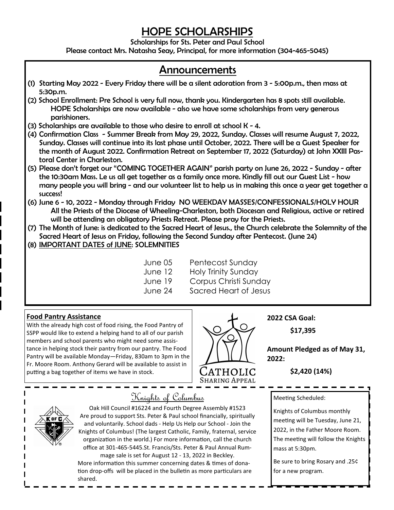# *HOPE SCHOLARSHIPS*

*Scholarships for Sts. Peter and Paul School* 

*Please contact Mrs. Natasha Seay, Principal, for more information (304-465-5045)* 

## *Announcements*

- *(1) Starting May 2022 Every Friday there will be a silent adoration from 3 5:00p.m., then mass at 5:30p.m.*
- *(2) School Enrollment: Pre School is very full now, thank you. Kindergarten has 8 spots still available. HOPE Scholarships are now available - also we have some scholarships from very generous parishioners.*
- *(3) Scholarships are available to those who desire to enroll at school K 4.*
- *(4) Confirmation Class Summer Break from May 29, 2022, Sunday. Classes will resume August 7, 2022, Sunday. Classes will continue into its last phase until October, 2022. There will be a Guest Speaker for the month of August 2022. Confirmation Retreat on September 17, 2022 (Saturday) at John XXIII Pastoral Center in Charleston.*
- *(5) Please don't forget our "COMING TOGETHER AGAIN" parish party on June 26, 2022 Sunday after the 10:30am Mass. Le us all get together as a family once more. Kindly fill out our Guest List - how many people you will bring - and our volunteer list to help us in making this once a year get together a success!*
- *(6) June 6 10, 2022 Monday through Friday NO WEEKDAY MASSES/CONFESSIONALS/HOLY HOUR All the Priests of the Diocese of Wheeling-Charleston, both Diocesan and Religious, active or retired will be attending an obligatory Priests Retreat. Please pray for the Priests.*
- *(7) The Month of June: is dedicated to the Sacred Heart of Jesus., the Church celebrate the Solemnity of the Sacred Heart of Jesus on Friday, following the Second Sunday after Pentecost. (June 24)*
- *(8) IMPORTANT DATES of JUNE: SOLEMNITIES* 
	-
	- **June 05** Pentecost Sunday June 12 Holy Trinity Sunday June 19 Corpus Christi Sunday June 24 Sacred Heart of Jesus

### **Food Pantry Assistance**

With the already high cost of food rising, the Food Pantry of SSPP would like to extend a helping hand to all of our parish members and school parents who might need some assistance in helping stock their pantry from our pantry. The Food Pantry will be available Monday—Friday, 830am to 3pm in the Fr. Moore Room. Anthony Gerard will be available to assist in putting a bag together of items we have in stock.



**2022 CSA Goal:** 

 **\$17,395** 

**Amount Pledged as of May 31, 2022:** 

 **\$2,420 (14%)** 

Meeting Scheduled:

Knights of Columbus monthly meeting will be Tuesday, June 21, 2022, in the Father Moore Room. The meeting will follow the Knights mass at 5:30pm.

Be sure to bring Rosary and .25¢ for a new program.

# Knights of Columbus

Oak Hill Council #16224 and Fourth Degree Assembly #1523 Are proud to support Sts. Peter & Paul school financially, spiritually and voluntarily. School dads - Help Us Help our School - Join the Knights of Columbus! (The largest Catholic, Family, fraternal, service organization in the world.) For more information, call the church office at 301-465-5445.St. Francis/Sts. Peter & Paul Annual Rum-

mage sale is set for August 12 - 13, 2022 in Beckley. More information this summer concerning dates & times of donation drop-offs will be placed in the bulletin as more particulars are shared.